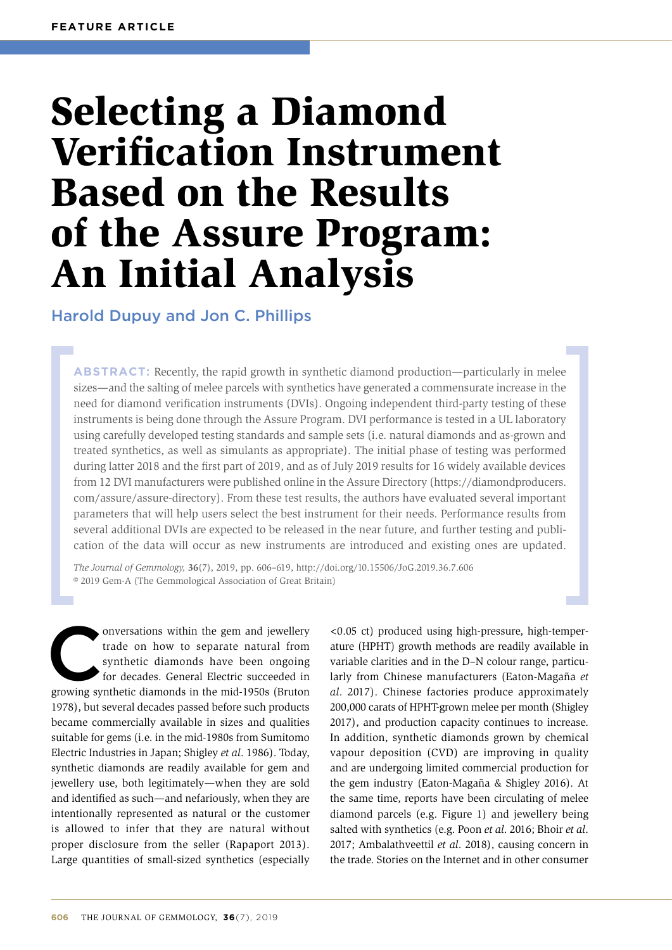# Selecting a Diamond Verification Instrument Based on the Results of the Assure Program: An Initial Analysis

# Harold Dupuy and Jon C. Phillips

**ABSTRACT:** Recently, the rapid growth in synthetic diamond production—particularly in melee sizes—and the salting of melee parcels with synthetics have generated a commensurate increase in the need for diamond verification instruments (DVIs). Ongoing independent third-party testing of these instruments is being done through the Assure Program. DVI performance is tested in a UL laboratory using carefully developed testing standards and sample sets (i.e. natural diamonds and as-grown and treated synthetics, as well as simulants as appropriate). The initial phase of testing was performed during latter 2018 and the first part of 2019, and as of July 2019 results for 16 widely available devices from 12 DVI manufacturers were published online in the Assure Directory (https://diamondproducers. com/assure/assure-directory). From these test results, the authors have evaluated several important parameters that will help users select the best instrument for their needs. Performance results from several additional DVIs are expected to be released in the near future, and further testing and publication of the data will occur as new instruments are introduced and existing ones are updated.

*The Journal of Gemmology,* **36**(7), 2019, pp. 606–619, [http://doi.org/10.15506/JoG.2019.36.7.](http://doi.org/10.15506/JoG.2019.36.7.606)606 © 2019 Gem-A (The Gemmological Association of Great Britain)

onversations within the gem and jewellery<br>
trade on how to separate natural from<br>
synthetic diamonds have been ongoing<br>
for decades. General Electric succeeded in<br>
growing synthetic diamonds in the mid-1950s (Bruton trade on how to separate natural from synthetic diamonds have been ongoing for decades. General Electric succeeded in 1978), but several decades passed before such products became commercially available in sizes and qualities suitable for gems (i.e. in the mid-1980s from Sumitomo Electric Industries in Japan; Shigley *et al*. 1986). Today, synthetic diamonds are readily available for gem and jewellery use, both legitimately—when they are sold and identified as such—and nefariously, when they are intentionally represented as natural or the customer is allowed to infer that they are natural without proper disclosure from the seller (Rapaport 2013). Large quantities of small-sized synthetics (especially

<0.05 ct) produced using high-pressure, high-temperature (HPHT) growth methods are readily available in variable clarities and in the D–N colour range, particularly from Chinese manufacturers (Eaton-Magaña *et al*. 2017). Chinese factories produce approximately 200,000 carats of HPHT-grown melee per month (Shigley 2017), and production capacity continues to increase. In addition, synthetic diamonds grown by chemical vapour deposition (CVD) are improving in quality and are undergoing limited commercial production for the gem industry (Eaton-Magaña & Shigley 2016). At the same time, reports have been circulating of melee diamond parcels (e.g. Figure 1) and jewellery being salted with synthetics (e.g. Poon *et al*. 2016; Bhoir *et al*. 2017; Ambalathveettil *et al*. 2018), causing concern in the trade. Stories on the Internet and in other consumer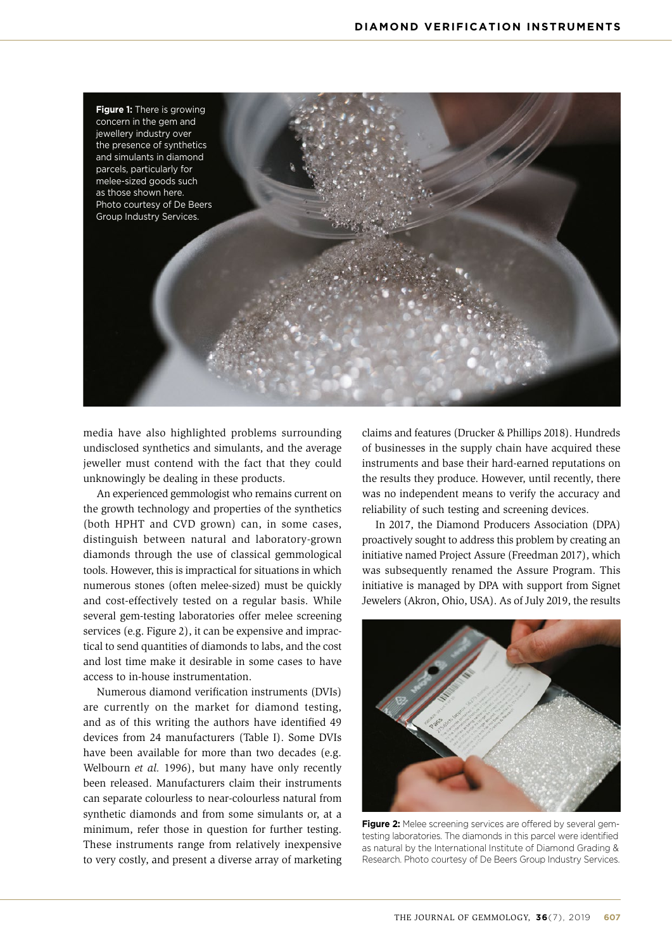

media have also highlighted problems surrounding undisclosed synthetics and simulants, and the average jeweller must contend with the fact that they could unknowingly be dealing in these products.

An experienced gemmologist who remains current on the growth technology and properties of the synthetics (both HPHT and CVD grown) can, in some cases, distinguish between natural and laboratory-grown diamonds through the use of classical gemmological tools. However, this is impractical for situations in which numerous stones (often melee-sized) must be quickly and cost-effectively tested on a regular basis. While several gem-testing laboratories offer melee screening services (e.g. Figure 2), it can be expensive and impractical to send quantities of diamonds to labs, and the cost and lost time make it desirable in some cases to have access to in-house instrumentation.

Numerous diamond verification instruments (DVIs) are currently on the market for diamond testing, and as of this writing the authors have identified 49 devices from 24 manufacturers (Table I). Some DVIs have been available for more than two decades (e.g. Welbourn *et al.* 1996), but many have only recently been released. Manufacturers claim their instruments can separate colourless to near-colourless natural from synthetic diamonds and from some simulants or, at a minimum, refer those in question for further testing. These instruments range from relatively inexpensive to very costly, and present a diverse array of marketing claims and features (Drucker & Phillips 2018). Hundreds of businesses in the supply chain have acquired these instruments and base their hard-earned reputations on the results they produce. However, until recently, there was no independent means to verify the accuracy and reliability of such testing and screening devices.

In 2017, the Diamond Producers Association (DPA) proactively sought to address this problem by creating an initiative named Project Assure (Freedman 2017), which was subsequently renamed the Assure Program. This initiative is managed by DPA with support from Signet Jewelers (Akron, Ohio, USA). As of July 2019, the results



**Figure 2:** Melee screening services are offered by several gemtesting laboratories. The diamonds in this parcel were identified as natural by the International Institute of Diamond Grading & Research. Photo courtesy of De Beers Group Industry Services.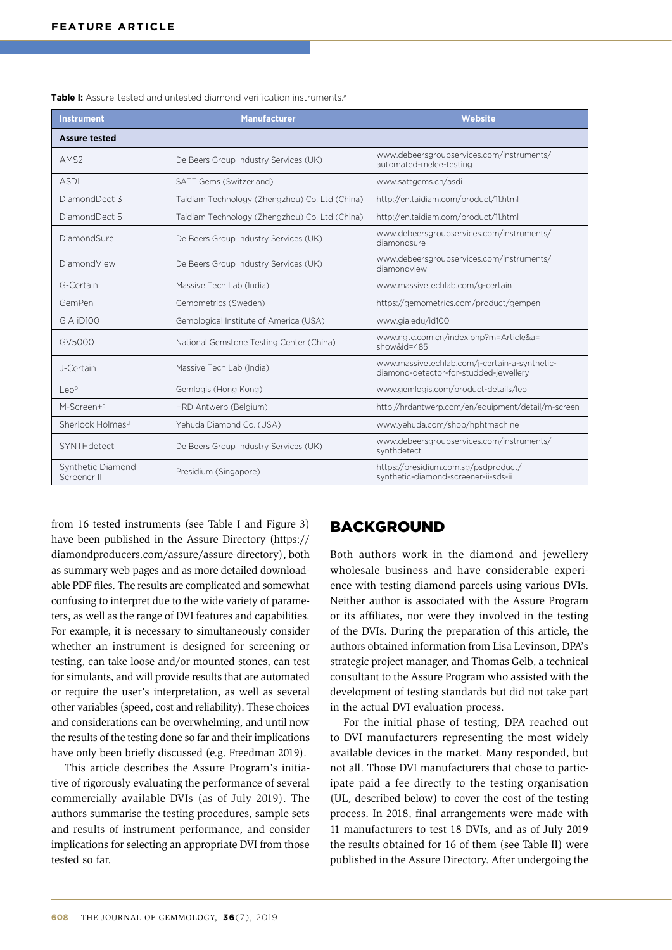| <b>Instrument</b>                | <b>Manufacturer</b>                            | Website                                                                                 |  |  |  |  |
|----------------------------------|------------------------------------------------|-----------------------------------------------------------------------------------------|--|--|--|--|
| <b>Assure tested</b>             |                                                |                                                                                         |  |  |  |  |
| AMS <sub>2</sub>                 | De Beers Group Industry Services (UK)          | www.debeersgroupservices.com/instruments/<br>automated-melee-testing                    |  |  |  |  |
| <b>ASDI</b>                      | SATT Gems (Switzerland)                        | www.sattgems.ch/asdi                                                                    |  |  |  |  |
| DiamondDect 3                    | Taidiam Technology (Zhengzhou) Co. Ltd (China) | http://en.taidiam.com/product/11.html                                                   |  |  |  |  |
| DiamondDect 5                    | Taidiam Technology (Zhengzhou) Co. Ltd (China) | http://en.taidiam.com/product/11.html                                                   |  |  |  |  |
| DiamondSure                      | De Beers Group Industry Services (UK)          | www.debeersgroupservices.com/instruments/<br>diamondsure                                |  |  |  |  |
| DiamondView                      | De Beers Group Industry Services (UK)          | www.debeersgroupservices.com/instruments/<br>diamondview                                |  |  |  |  |
| G-Certain                        | Massive Tech Lab (India)                       | www.massivetechlab.com/g-certain                                                        |  |  |  |  |
| GemPen                           | Gemometrics (Sweden)                           | https://gemometrics.com/product/gempen                                                  |  |  |  |  |
| GIA iD100                        | Gemological Institute of America (USA)         | www.gia.edu/id100                                                                       |  |  |  |  |
| GV5000                           | National Gemstone Testing Center (China)       | www.ngtc.com.cn/index.php?m=Article&a=<br>show&id= $485$                                |  |  |  |  |
| J-Certain                        | Massive Tech Lab (India)                       | www.massivetechlab.com/i-certain-a-synthetic-<br>diamond-detector-for-studded-jewellery |  |  |  |  |
| Leo <sup>b</sup>                 | Gemlogis (Hong Kong)                           | www.gemlogis.com/product-details/leo                                                    |  |  |  |  |
| M-Screen+c                       | HRD Antwerp (Belgium)                          | http://hrdantwerp.com/en/equipment/detail/m-screen                                      |  |  |  |  |
| Sherlock Holmes <sup>d</sup>     | Yehuda Diamond Co. (USA)                       | www.yehuda.com/shop/hphtmachine                                                         |  |  |  |  |
| SYNTHdetect                      | De Beers Group Industry Services (UK)          | www.debeersgroupservices.com/instruments/<br>synthdetect                                |  |  |  |  |
| Synthetic Diamond<br>Screener II | Presidium (Singapore)                          | https://presidium.com.sg/psdproduct/<br>synthetic-diamond-screener-ii-sds-ii            |  |  |  |  |

**Table I:** Assure-tested and untested diamond verification instruments.<sup>a</sup>

from 16 tested instruments (see Table I and Figure 3) have been published in the Assure Directory ([https://](https://diamondproducers.com/assure/assure-directory) [diamondproducers.com/assure/assure-directory\)](https://diamondproducers.com/assure/assure-directory), both as summary web pages and as more detailed downloadable PDF files. The results are complicated and somewhat confusing to interpret due to the wide variety of parameters, as well as the range of DVI features and capabilities. For example, it is necessary to simultaneously consider whether an instrument is designed for screening or testing, can take loose and/or mounted stones, can test for simulants, and will provide results that are automated or require the user's interpretation, as well as several other variables (speed, cost and reliability). These choices and considerations can be overwhelming, and until now the results of the testing done so far and their implications have only been briefly discussed (e.g. Freedman 2019).

This article describes the Assure Program's initiative of rigorously evaluating the performance of several commercially available DVIs (as of July 2019). The authors summarise the testing procedures, sample sets and results of instrument performance, and consider implications for selecting an appropriate DVI from those tested so far.

## BACKGROUND

Both authors work in the diamond and jewellery wholesale business and have considerable experience with testing diamond parcels using various DVIs. Neither author is associated with the Assure Program or its affiliates, nor were they involved in the testing of the DVIs. During the preparation of this article, the authors obtained information from Lisa Levinson, DPA's strategic project manager, and Thomas Gelb, a technical consultant to the Assure Program who assisted with the development of testing standards but did not take part in the actual DVI evaluation process.

For the initial phase of testing, DPA reached out to DVI manufacturers representing the most widely available devices in the market. Many responded, but not all. Those DVI manufacturers that chose to participate paid a fee directly to the testing organisation (UL, described below) to cover the cost of the testing process. In 2018, final arrangements were made with 11 manufacturers to test 18 DVIs, and as of July 2019 the results obtained for 16 of them (see Table II) were published in the Assure Directory. After undergoing the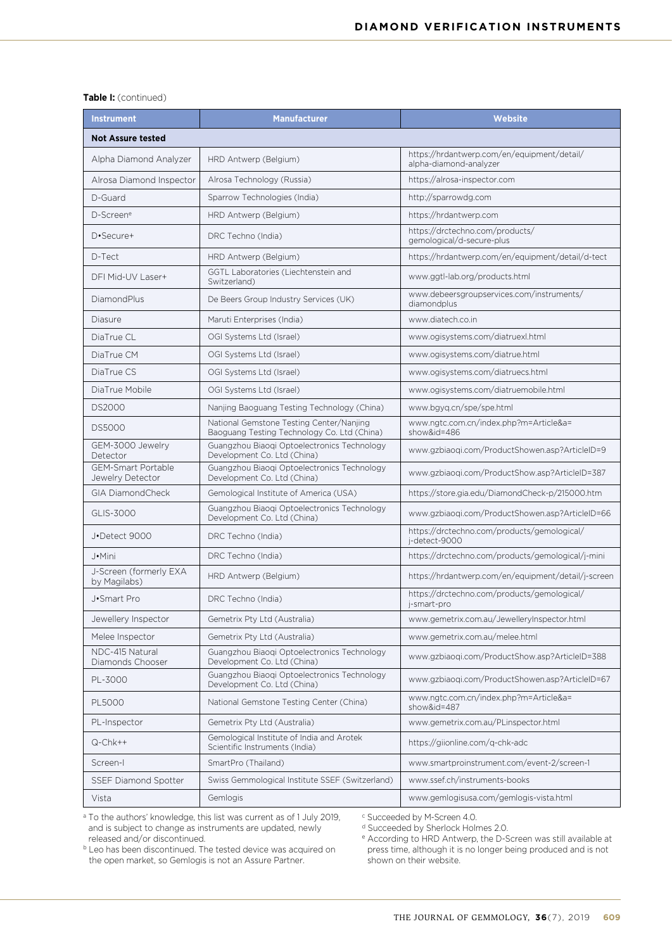#### **Table I:** (continued)

| <b>Instrument</b>                             | <b>Manufacturer</b>                                                                     | <b>Website</b>                                                        |  |  |  |  |
|-----------------------------------------------|-----------------------------------------------------------------------------------------|-----------------------------------------------------------------------|--|--|--|--|
| <b>Not Assure tested</b>                      |                                                                                         |                                                                       |  |  |  |  |
| Alpha Diamond Analyzer                        | HRD Antwerp (Belgium)                                                                   | https://hrdantwerp.com/en/equipment/detail/<br>alpha-diamond-analyzer |  |  |  |  |
| Alrosa Diamond Inspector                      | Alrosa Technology (Russia)                                                              | https://alrosa-inspector.com                                          |  |  |  |  |
| D-Guard                                       | Sparrow Technologies (India)                                                            | http://sparrowdg.com                                                  |  |  |  |  |
| D-Screene                                     | HRD Antwerp (Belgium)                                                                   | https://hrdantwerp.com                                                |  |  |  |  |
| D•Secure+                                     | DRC Techno (India)                                                                      | https://drctechno.com/products/<br>gemological/d-secure-plus          |  |  |  |  |
| D-Tect                                        | HRD Antwerp (Belgium)                                                                   | https://hrdantwerp.com/en/equipment/detail/d-tect                     |  |  |  |  |
| DFI Mid-UV Laser+                             | GGTL Laboratories (Liechtenstein and<br>Switzerland)                                    | www.ggtl-lab.org/products.html                                        |  |  |  |  |
| DiamondPlus                                   | De Beers Group Industry Services (UK)                                                   | www.debeersgroupservices.com/instruments/<br>diamondplus              |  |  |  |  |
| Diasure                                       | Maruti Enterprises (India)                                                              | www.diatech.co.in                                                     |  |  |  |  |
| DiaTrue CL                                    | OGI Systems Ltd (Israel)                                                                | www.ogisystems.com/diatruexl.html                                     |  |  |  |  |
| DiaTrue CM                                    | OGI Systems Ltd (Israel)                                                                | www.ogisystems.com/diatrue.html                                       |  |  |  |  |
| DiaTrue CS                                    | OGI Systems Ltd (Israel)                                                                | www.ogisystems.com/diatruecs.html                                     |  |  |  |  |
| DiaTrue Mobile                                | OGI Systems Ltd (Israel)                                                                | www.ogisystems.com/diatruemobile.html                                 |  |  |  |  |
| <b>DS2000</b>                                 | Nanjing Baoguang Testing Technology (China)                                             | www.bgyq.cn/spe/spe.html                                              |  |  |  |  |
| <b>DS5000</b>                                 | National Gemstone Testing Center/Nanjing<br>Baoguang Testing Technology Co. Ltd (China) | www.ngtc.com.cn/index.php?m=Article&a=<br>show&id=486                 |  |  |  |  |
| GEM-3000 Jewelry<br>Detector                  | Guangzhou Biaogi Optoelectronics Technology<br>Development Co. Ltd (China)              | www.gzbiaoqi.com/ProductShowen.asp?ArticleID=9                        |  |  |  |  |
| <b>GEM-Smart Portable</b><br>Jewelry Detector | Guangzhou Biaogi Optoelectronics Technology<br>Development Co. Ltd (China)              | www.gzbiaoqi.com/ProductShow.asp?ArticleID=387                        |  |  |  |  |
| <b>GIA DiamondCheck</b>                       | Gemological Institute of America (USA)                                                  | https://store.gia.edu/DiamondCheck-p/215000.htm                       |  |  |  |  |
| GLIS-3000                                     | Guangzhou Biaogi Optoelectronics Technology<br>Development Co. Ltd (China)              | www.gzbiaogi.com/ProductShowen.asp?ArticleID=66                       |  |  |  |  |
| J.Detect 9000                                 | DRC Techno (India)                                                                      | https://drctechno.com/products/gemological/<br>j-detect-9000          |  |  |  |  |
| J•Mini                                        | DRC Techno (India)                                                                      | https://drctechno.com/products/gemological/j-mini                     |  |  |  |  |
| J-Screen (formerly EXA<br>by Magilabs)        | HRD Antwerp (Belgium)                                                                   | https://hrdantwerp.com/en/equipment/detail/j-screen                   |  |  |  |  |
| J.Smart Pro                                   | DRC Techno (India)                                                                      | https://drctechno.com/products/gemological/<br>j-smart-pro            |  |  |  |  |
| Jewellery Inspector                           | Gemetrix Pty Ltd (Australia)                                                            | www.gemetrix.com.au/JewelleryInspector.html                           |  |  |  |  |
| Melee Inspector                               | Gemetrix Pty Ltd (Australia)                                                            | www.gemetrix.com.au/melee.html                                        |  |  |  |  |
| NDC-415 Natural<br>Diamonds Chooser           | Guangzhou Biaogi Optoelectronics Technology<br>Development Co. Ltd (China)              | www.gzbiaoqi.com/ProductShow.asp?ArticleID=388                        |  |  |  |  |
| PL-3000                                       | Guangzhou Biaogi Optoelectronics Technology<br>Development Co. Ltd (China)              | www.gzbiaogi.com/ProductShowen.asp?ArticleID=67                       |  |  |  |  |
| <b>PL5000</b>                                 | National Gemstone Testing Center (China)                                                | www.ngtc.com.cn/index.php?m=Article&a=<br>show&id=487                 |  |  |  |  |
| PL-Inspector                                  | Gemetrix Pty Ltd (Australia)                                                            | www.gemetrix.com.au/PLinspector.html                                  |  |  |  |  |
| Q-Chk++                                       | Gemological Institute of India and Arotek<br>Scientific Instruments (India)             | https://giionline.com/q-chk-adc                                       |  |  |  |  |
| Screen-I                                      | SmartPro (Thailand)                                                                     | www.smartproinstrument.com/event-2/screen-1                           |  |  |  |  |
| <b>SSEF Diamond Spotter</b>                   | Swiss Gemmological Institute SSEF (Switzerland)                                         | www.ssef.ch/instruments-books                                         |  |  |  |  |
| Vista                                         | Gemlogis                                                                                | www.gemlogisusa.com/gemlogis-vista.html                               |  |  |  |  |

<sup>a</sup> To the authors' knowledge, this list was current as of 1 July 2019, and is subject to change as instruments are updated, newly released and/or discontinued. **b** Leo has been discontinued. The tested device was acquired on

<sup>c</sup> Succeeded by M-Screen 4.0.

<sup>d</sup> Succeeded by Sherlock Holmes 2.0.

<sup>e</sup> According to HRD Antwerp, the D-Screen was still available at press time, although it is no longer being produced and is not shown on their website.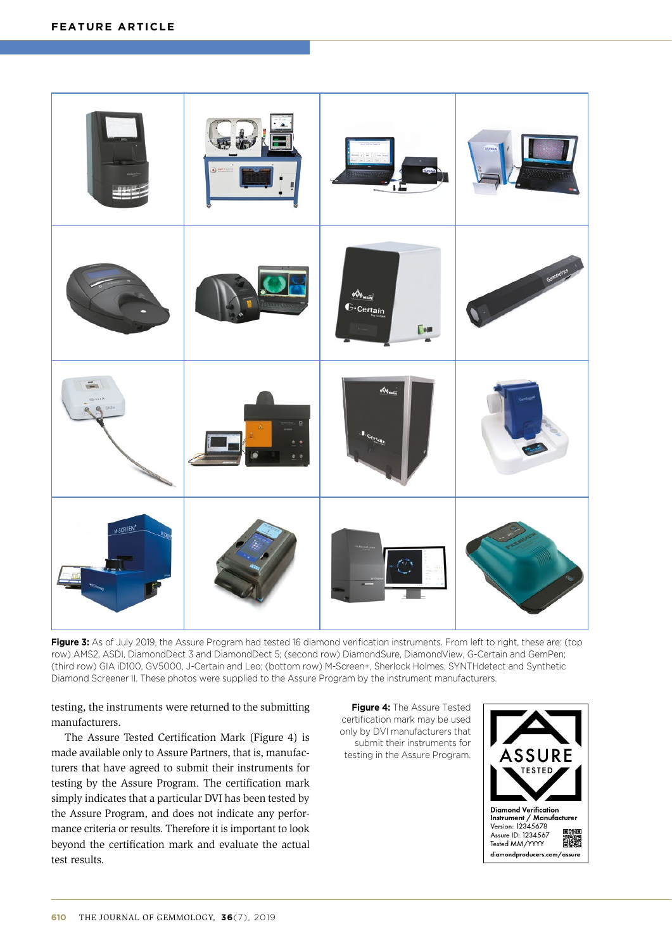

Figure 3: As of July 2019, the Assure Program had tested 16 diamond verification instruments. From left to right, these are: (top row) AMS2, ASDI, DiamondDect 3 and DiamondDect 5; (second row) DiamondSure, DiamondView, G-Certain and GemPen; (third row) GIA iD100, GV5000, J-Certain and Leo; (bottom row) M-Screen+, Sherlock Holmes, SYNTHdetect and Synthetic Diamond Screener II. These photos were supplied to the Assure Program by the instrument manufacturers.

testing, the instruments were returned to the submitting manufacturers.

The Assure Tested Certification Mark (Figure 4) is made available only to Assure Partners, that is, manufacturers that have agreed to submit their instruments for testing by the Assure Program. The certification mark simply indicates that a particular DVI has been tested by the Assure Program, and does not indicate any performance criteria or results. Therefore it is important to look beyond the certification mark and evaluate the actual test results.

**Figure 4:** The Assure Tested certification mark may be used only by DVI manufacturers that submit their instruments for testing in the Assure Program.

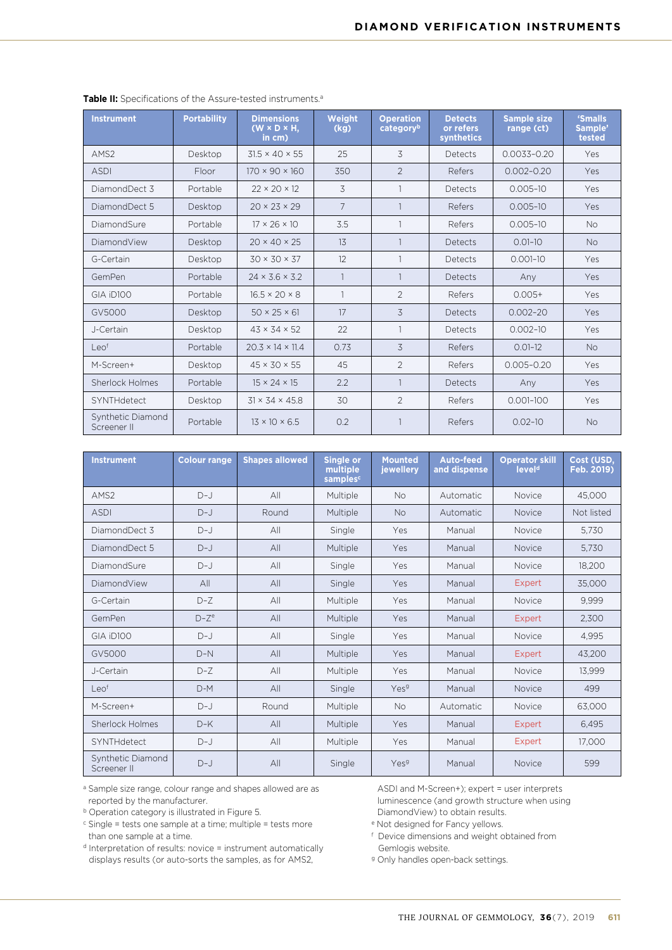| <b>Instrument</b>                | <b>Portability</b> | <b>Dimensions</b><br>$(W \times D \times H.$<br>in cm) | Weight<br>(kg) | <b>Operation</b><br>categoryb | <b>Detects</b><br>or refers<br>synthetics | <b>Sample size</b><br>range (ct) | 'Smalls<br>Sample'<br>tested |
|----------------------------------|--------------------|--------------------------------------------------------|----------------|-------------------------------|-------------------------------------------|----------------------------------|------------------------------|
| AMS <sub>2</sub>                 | Desktop            | $31.5 \times 40 \times 55$                             | 25             | 3                             | Detects                                   | $0.0033 - 0.20$                  | Yes                          |
| <b>ASDI</b>                      | Floor              | $170 \times 90 \times 160$                             | 350            | $\overline{2}$                | Refers                                    | $0.002 - 0.20$                   | Yes                          |
| DiamondDect 3                    | Portable           | $22 \times 20 \times 12$                               | 3              |                               | Detects                                   | $0.005 - 10$                     | Yes                          |
| DiamondDect 5                    | Desktop            | $20 \times 23 \times 29$                               | $\overline{7}$ |                               | Refers                                    | $0.005 - 10$                     | Yes                          |
| DiamondSure                      | Portable           | $17 \times 26 \times 10$                               | 3.5            |                               | Refers                                    | $0.005 - 10$                     | No.                          |
| DiamondView                      | Desktop            | $20 \times 40 \times 25$                               | 13             |                               | Detects                                   | $0.01 - 10$                      | <b>No</b>                    |
| G-Certain                        | Desktop            | $30 \times 30 \times 37$                               | 12             |                               | Detects                                   | $0.001 - 10$                     | Yes                          |
| GemPen                           | Portable           | $24 \times 3.6 \times 3.2$                             | $\mathbf{1}$   |                               | Detects                                   | Any                              | Yes                          |
| GIA iD100                        | Portable           | $16.5 \times 20 \times 8$                              | $\mathbf{1}$   | $\overline{2}$                | Refers                                    | $0.005+$                         | Yes                          |
| GV5000                           | Desktop            | $50 \times 25 \times 61$                               | 17             | 3                             | Detects                                   | $0.002 - 20$                     | Yes                          |
| J-Certain                        | Desktop            | $43 \times 34 \times 52$                               | 22             | $\mathbf{1}$                  | Detects                                   | $0.002 - 10$                     | Yes                          |
| Leo <sup>f</sup>                 | Portable           | $20.3 \times 14 \times 11.4$                           | 0.73           | 3                             | Refers                                    | $0.01 - 12$                      | <b>No</b>                    |
| M-Screen+                        | Desktop            | $45 \times 30 \times 55$                               | 45             | $\overline{2}$                | Refers                                    | $0.005 - 0.20$                   | <b>Yes</b>                   |
| Sherlock Holmes                  | Portable           | $15 \times 24 \times 15$                               | 2.2            |                               | Detects                                   | Any                              | <b>Yes</b>                   |
| <b>SYNTHdetect</b>               | Desktop            | $31 \times 34 \times 45.8$                             | 30             | $\overline{2}$                | Refers                                    | $0.001 - 100$                    | Yes                          |
| Synthetic Diamond<br>Screener II | Portable           | $13 \times 10 \times 6.5$                              | 0.2            |                               | Refers                                    | $0.02 - 10$                      | <b>No</b>                    |

| <b>Instrument</b>                | <b>Colour range</b> | <b>Shapes allowed</b> | <b>Single or</b><br>multiple<br>samples <sup>c</sup> | <b>Mounted</b><br>jewellery | Auto-feed<br>and dispense | <b>Operator skill</b><br>level <sup>d</sup> | Cost (USD,<br>Feb. 2019) |
|----------------------------------|---------------------|-----------------------|------------------------------------------------------|-----------------------------|---------------------------|---------------------------------------------|--------------------------|
| AMS <sub>2</sub>                 | $D-J$               | All                   | Multiple                                             | <b>No</b>                   | Automatic                 | Novice                                      | 45.000                   |
| <b>ASDI</b>                      | $D-J$               | Round                 | Multiple                                             | <b>No</b>                   | Automatic                 | <b>Novice</b>                               | Not listed               |
| DiamondDect 3                    | $D-J$               | All                   | Single                                               | Yes                         | Manual                    | <b>Novice</b>                               | 5.730                    |
| DiamondDect 5                    | $D-J$               | All                   | Multiple                                             | Yes                         | Manual                    | Novice                                      | 5.730                    |
| DiamondSure                      | $D-J$               | All                   | Single                                               | Yes                         | Manual                    | Novice                                      | 18,200                   |
| DiamondView                      | All                 | All                   | Single                                               | Yes                         | Manual                    | Expert                                      | 35,000                   |
| G-Certain                        | $D - 7$             | Al <sub>l</sub>       | Multiple                                             | Yes                         | Manual                    | <b>Novice</b>                               | 9,999                    |
| GemPen                           | $D - 7^e$           | All                   | Multiple                                             | Yes                         | Manual                    | Expert                                      | 2,300                    |
| GIA iD100                        | $D-J$               | All                   | Single                                               | Yes                         | Manual                    | Novice                                      | 4.995                    |
| GV5000                           | $D-N$               | All                   | Multiple                                             | Yes                         | Manual                    | Expert                                      | 43,200                   |
| J-Certain                        | $D - 7$             | All                   | Multiple                                             | Yes                         | Manual                    | Novice                                      | 13.999                   |
| Leof                             | $D-M$               | All                   | Single                                               | Yes <sup>9</sup>            | Manual                    | Novice                                      | 499                      |
| M-Screen+                        | $D-J$               | Round                 | Multiple                                             | <b>No</b>                   | Automatic                 | <b>Novice</b>                               | 63,000                   |
| Sherlock Holmes                  | $D-K$               | All                   | Multiple                                             | Yes                         | Manual                    | Expert                                      | 6.495                    |
| SYNTHdetect                      | $D-J$               | All                   | Multiple                                             | Yes                         | Manual                    | <b>Expert</b>                               | 17,000                   |
| Synthetic Diamond<br>Screener II | $D-J$               | All                   | Single                                               | Yesg                        | Manual                    | Novice                                      | 599                      |

<sup>a</sup> Sample size range, colour range and shapes allowed are as reported by the manufacturer.

<sup>b</sup> Operation category is illustrated in Figure 5.

<sup>c</sup> Single = tests one sample at a time; multiple = tests more than one sample at a time.

<sup>d</sup> Interpretation of results: novice = instrument automatically displays results (or auto-sorts the samples, as for AMS2,

ASDI and M-Screen+); expert = user interprets luminescence (and growth structure when using DiamondView) to obtain results.

<sup>e</sup> Not designed for Fancy yellows.

f Device dimensions and weight obtained from Gemlogis website.

<sup>g</sup> Only handles open-back settings.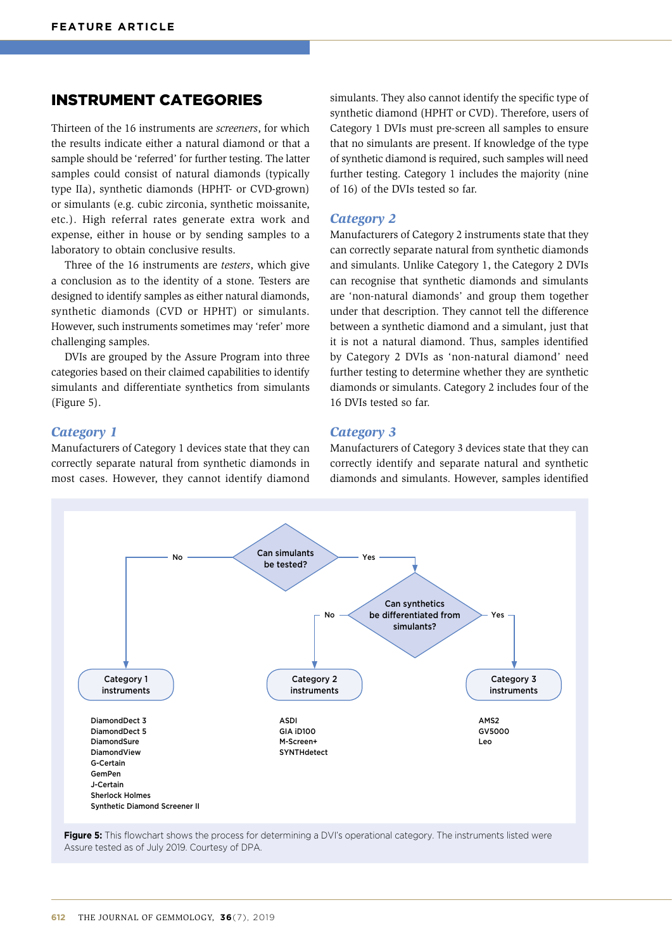## INSTRUMENT CATEGORIES

Thirteen of the 16 instruments are *screeners*, for which the results indicate either a natural diamond or that a sample should be 'referred' for further testing. The latter samples could consist of natural diamonds (typically type IIa), synthetic diamonds (HPHT- or CVD-grown) or simulants (e.g. cubic zirconia, synthetic moissanite, etc.). High referral rates generate extra work and expense, either in house or by sending samples to a laboratory to obtain conclusive results.

Three of the 16 instruments are *testers*, which give a conclusion as to the identity of a stone. Testers are designed to identify samples as either natural diamonds, synthetic diamonds (CVD or HPHT) or simulants. However, such instruments sometimes may 'refer' more challenging samples.

DVIs are grouped by the Assure Program into three categories based on their claimed capabilities to identify simulants and differentiate synthetics from simulants (Figure 5).

simulants. They also cannot identify the specific type of synthetic diamond (HPHT or CVD). Therefore, users of Category 1 DVIs must pre-screen all samples to ensure that no simulants are present. If knowledge of the type of synthetic diamond is required, such samples will need further testing. Category 1 includes the majority (nine of 16) of the DVIs tested so far.

#### *Category 2*

Manufacturers of Category 2 instruments state that they can correctly separate natural from synthetic diamonds and simulants. Unlike Category 1, the Category 2 DVIs can recognise that synthetic diamonds and simulants are 'non-natural diamonds' and group them together under that description. They cannot tell the difference between a synthetic diamond and a simulant, just that it is not a natural diamond. Thus, samples identified by Category 2 DVIs as 'non-natural diamond' need further testing to determine whether they are synthetic diamonds or simulants. Category 2 includes four of the 16 DVIs tested so far.

#### *Category 1*

Manufacturers of Category 1 devices state that they can correctly separate natural from synthetic diamonds in most cases. However, they cannot identify diamond

*Category 3*

Manufacturers of Category 3 devices state that they can correctly identify and separate natural and synthetic diamonds and simulants. However, samples identified



**Figure 5:** This flowchart shows the process for determining a DVI's operational category. The instruments listed were Assure tested as of July 2019. Courtesy of DPA.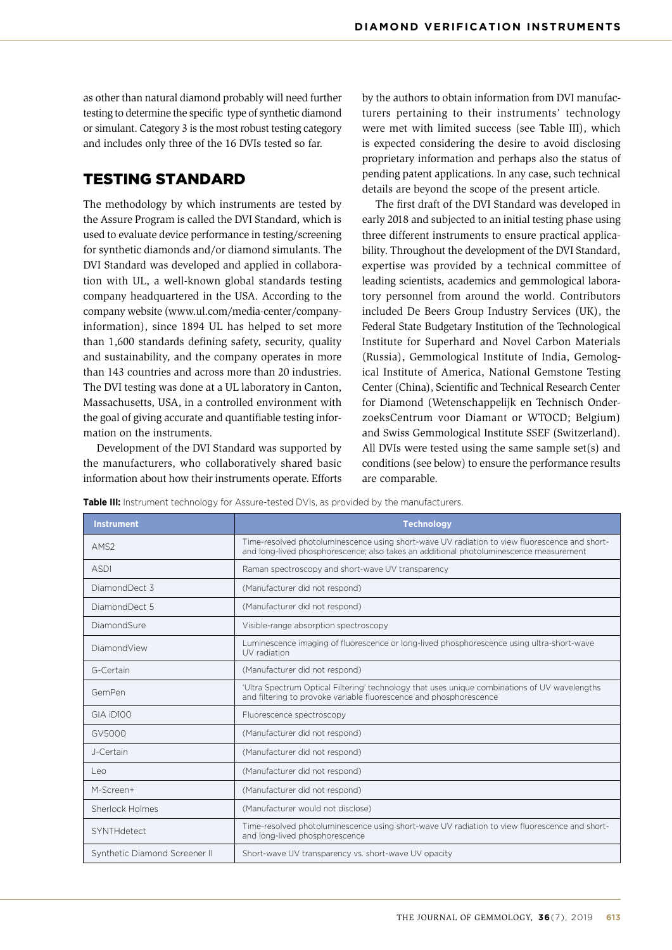as other than natural diamond probably will need further testing to determine the specific type of synthetic diamond or simulant. Category 3 is the most robust testing category and includes only three of the 16 DVIs tested so far.

# TESTING STANDARD

The methodology by which instruments are tested by the Assure Program is called the DVI Standard, which is used to evaluate device performance in testing/screening for synthetic diamonds and/or diamond simulants. The DVI Standard was developed and applied in collaboration with UL, a well-known global standards testing company headquartered in the USA. According to the company website [\(www.ul.com/media-center/company](http://www.ul.com/media-center/company-information)[information](http://www.ul.com/media-center/company-information)), since 1894 UL has helped to set more than 1,600 standards defining safety, security, quality and sustainability, and the company operates in more than 143 countries and across more than 20 industries. The DVI testing was done at a UL laboratory in Canton, Massachusetts, USA, in a controlled environment with the goal of giving accurate and quantifiable testing information on the instruments.

Development of the DVI Standard was supported by the manufacturers, who collaboratively shared basic information about how their instruments operate. Efforts by the authors to obtain information from DVI manufacturers pertaining to their instruments' technology were met with limited success (see Table III), which is expected considering the desire to avoid disclosing proprietary information and perhaps also the status of pending patent applications. In any case, such technical details are beyond the scope of the present article.

The first draft of the DVI Standard was developed in early 2018 and subjected to an initial testing phase using three different instruments to ensure practical applicability. Throughout the development of the DVI Standard, expertise was provided by a technical committee of leading scientists, academics and gemmological laboratory personnel from around the world. Contributors included De Beers Group Industry Services (UK), the Federal State Budgetary Institution of the Technological Institute for Superhard and Novel Carbon Materials (Russia), Gemmological Institute of India, Gemological Institute of America, National Gemstone Testing Center (China), Scientific and Technical Research Center for Diamond (Wetenschappelijk en Technisch OnderzoeksCentrum voor Diamant or WTOCD; Belgium) and Swiss Gemmological Institute SSEF (Switzerland). All DVIs were tested using the same sample set(s) and conditions (see below) to ensure the performance results are comparable.

**Table III:** Instrument technology for Assure-tested DVIs, as provided by the manufacturers.

| <b>Instrument</b>             | <b>Technology</b>                                                                                                                                                                       |
|-------------------------------|-----------------------------------------------------------------------------------------------------------------------------------------------------------------------------------------|
| AMS <sub>2</sub>              | Time-resolved photoluminescence using short-wave UV radiation to view fluorescence and short-<br>and long-lived phosphorescence; also takes an additional photoluminescence measurement |
| <b>ASDI</b>                   | Raman spectroscopy and short-wave UV transparency                                                                                                                                       |
| DiamondDect 3                 | (Manufacturer did not respond)                                                                                                                                                          |
| DiamondDect 5                 | (Manufacturer did not respond)                                                                                                                                                          |
| DiamondSure                   | Visible-range absorption spectroscopy                                                                                                                                                   |
| DiamondView                   | Luminescence imaging of fluorescence or long-lived phosphorescence using ultra-short-wave<br>UV radiation                                                                               |
| G-Certain                     | (Manufacturer did not respond)                                                                                                                                                          |
| GemPen                        | 'Ultra Spectrum Optical Filtering' technology that uses unique combinations of UV wavelengths<br>and filtering to provoke variable fluorescence and phosphorescence                     |
| GIA iD100                     | Fluorescence spectroscopy                                                                                                                                                               |
| GV5000                        | (Manufacturer did not respond)                                                                                                                                                          |
| J-Certain                     | (Manufacturer did not respond)                                                                                                                                                          |
| Leo                           | (Manufacturer did not respond)                                                                                                                                                          |
| M-Screen+                     | (Manufacturer did not respond)                                                                                                                                                          |
| Sherlock Holmes               | (Manufacturer would not disclose)                                                                                                                                                       |
| SYNTHdetect                   | Time-resolved photoluminescence using short-wave UV radiation to view fluorescence and short-<br>and long-lived phosphorescence                                                         |
| Synthetic Diamond Screener II | Short-wave UV transparency vs. short-wave UV opacity                                                                                                                                    |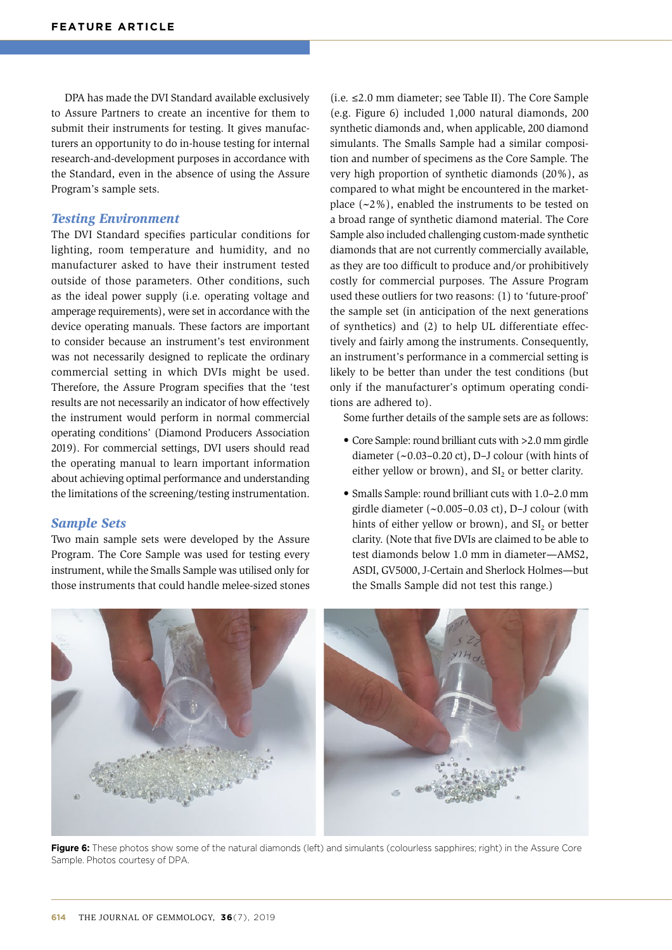DPA has made the DVI Standard available exclusively to Assure Partners to create an incentive for them to submit their instruments for testing. It gives manufacturers an opportunity to do in-house testing for internal research-and-development purposes in accordance with the Standard, even in the absence of using the Assure Program's sample sets.

### *Testing Environment*

The DVI Standard specifies particular conditions for lighting, room temperature and humidity, and no manufacturer asked to have their instrument tested outside of those parameters. Other conditions, such as the ideal power supply (i.e. operating voltage and amperage requirements), were set in accordance with the device operating manuals. These factors are important to consider because an instrument's test environment was not necessarily designed to replicate the ordinary commercial setting in which DVIs might be used. Therefore, the Assure Program specifies that the 'test results are not necessarily an indicator of how effectively the instrument would perform in normal commercial operating conditions' (Diamond Producers Association 2019). For commercial settings, DVI users should read the operating manual to learn important information about achieving optimal performance and understanding the limitations of the screening/testing instrumentation.

### *Sample Sets*

Two main sample sets were developed by the Assure Program. The Core Sample was used for testing every instrument, while the Smalls Sample was utilised only for those instruments that could handle melee-sized stones (i.e. ≤2.0 mm diameter; see Table II). The Core Sample (e.g. Figure 6) included 1,000 natural diamonds, 200 synthetic diamonds and, when applicable, 200 diamond simulants. The Smalls Sample had a similar composition and number of specimens as the Core Sample. The very high proportion of synthetic diamonds (20%), as compared to what might be encountered in the marketplace  $(-2\%)$ , enabled the instruments to be tested on a broad range of synthetic diamond material. The Core Sample also included challenging custom-made synthetic diamonds that are not currently commercially available, as they are too difficult to produce and/or prohibitively costly for commercial purposes. The Assure Program used these outliers for two reasons: (1) to 'future-proof' the sample set (in anticipation of the next generations of synthetics) and (2) to help UL differentiate effectively and fairly among the instruments. Consequently, an instrument's performance in a commercial setting is likely to be better than under the test conditions (but only if the manufacturer's optimum operating conditions are adhered to).

Some further details of the sample sets are as follows:

- Core Sample: round brilliant cuts with >2.0 mm girdle diameter  $({\sim}0.03-0.20 \text{ ct})$ , D-J colour (with hints of either yellow or brown), and  $SI<sub>2</sub>$  or better clarity.
- Smalls Sample: round brilliant cuts with 1.0–2.0 mm girdle diameter  $({\sim}0.005-0.03 \text{ ct})$ , D-J colour (with hints of either yellow or brown), and  $SI<sub>2</sub>$  or better clarity. (Note that five DVIs are claimed to be able to test diamonds below 1.0 mm in diameter—AMS2, ASDI, GV5000, J-Certain and Sherlock Holmes—but the Smalls Sample did not test this range.)



**Figure 6:** These photos show some of the natural diamonds (left) and simulants (colourless sapphires; right) in the Assure Core Sample. Photos courtesy of DPA.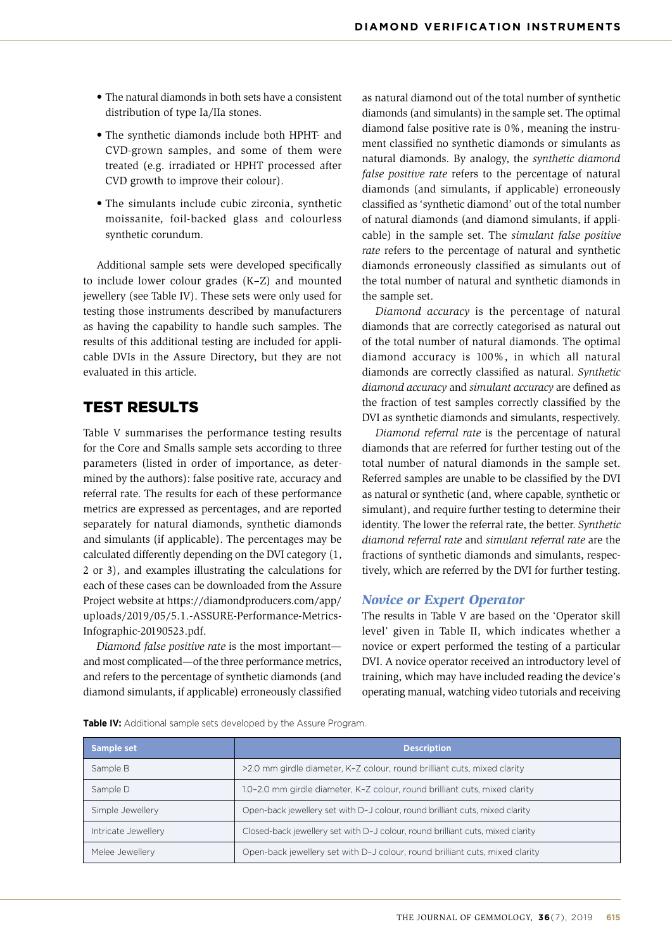- The natural diamonds in both sets have a consistent distribution of type Ia/IIa stones.
- The synthetic diamonds include both HPHT- and CVD-grown samples, and some of them were treated (e.g. irradiated or HPHT processed after CVD growth to improve their colour).
- The simulants include cubic zirconia, synthetic moissanite, foil-backed glass and colourless synthetic corundum.

Additional sample sets were developed specifically to include lower colour grades (K–Z) and mounted jewellery (see Table IV). These sets were only used for testing those instruments described by manufacturers as having the capability to handle such samples. The results of this additional testing are included for applicable DVIs in the Assure Directory, but they are not evaluated in this article.

# TEST RESULTS

Table V summarises the performance testing results for the Core and Smalls sample sets according to three parameters (listed in order of importance, as determined by the authors): false positive rate, accuracy and referral rate. The results for each of these performance metrics are expressed as percentages, and are reported separately for natural diamonds, synthetic diamonds and simulants (if applicable). The percentages may be calculated differently depending on the DVI category (1, 2 or 3), and examples illustrating the calculations for each of these cases can be downloaded from the Assure Project website at [https://diamondproducers.com/app/](https://diamondproducers.com/app/uploads/2019/05/5.1.-ASSURE-Performance-Metrics-Infographic-20190523.pdf) [uploads/2019/05/5.1.-ASSURE-Performance-Metrics-](https://diamondproducers.com/app/uploads/2019/05/5.1.-ASSURE-Performance-Metrics-Infographic-20190523.pdf)[Infographic-20190523.pdf](https://diamondproducers.com/app/uploads/2019/05/5.1.-ASSURE-Performance-Metrics-Infographic-20190523.pdf).

*Diamond false positive rate* is the most important and most complicated—of the three performance metrics, and refers to the percentage of synthetic diamonds (and diamond simulants, if applicable) erroneously classified as natural diamond out of the total number of synthetic diamonds (and simulants) in the sample set. The optimal diamond false positive rate is 0%, meaning the instrument classified no synthetic diamonds or simulants as natural diamonds. By analogy, the *synthetic diamond false positive rate* refers to the percentage of natural diamonds (and simulants, if applicable) erroneously classified as 'synthetic diamond' out of the total number of natural diamonds (and diamond simulants, if applicable) in the sample set. The *simulant false positive rate* refers to the percentage of natural and synthetic diamonds erroneously classified as simulants out of the total number of natural and synthetic diamonds in the sample set.

*Diamond accuracy* is the percentage of natural diamonds that are correctly categorised as natural out of the total number of natural diamonds. The optimal diamond accuracy is 100%, in which all natural diamonds are correctly classified as natural. *Synthetic diamond accuracy* and *simulant accuracy* are defined as the fraction of test samples correctly classified by the DVI as synthetic diamonds and simulants, respectively.

*Diamond referral rate* is the percentage of natural diamonds that are referred for further testing out of the total number of natural diamonds in the sample set. Referred samples are unable to be classified by the DVI as natural or synthetic (and, where capable, synthetic or simulant), and require further testing to determine their identity. The lower the referral rate, the better. *Synthetic diamond referral rate* and *simulant referral rate* are the fractions of synthetic diamonds and simulants, respectively, which are referred by the DVI for further testing.

## *Novice or Expert Operator*

The results in Table V are based on the 'Operator skill level' given in Table II, which indicates whether a novice or expert performed the testing of a particular DVI. A novice operator received an introductory level of training, which may have included reading the device's operating manual, watching video tutorials and receiving

**Table IV:** Additional sample sets developed by the Assure Program.

| Sample set          | <b>Description</b>                                                             |
|---------------------|--------------------------------------------------------------------------------|
| Sample B            | >2.0 mm girdle diameter, K-Z colour, round brilliant cuts, mixed clarity       |
| Sample D            | 1.0-2.0 mm girdle diameter, K-Z colour, round brilliant cuts, mixed clarity    |
| Simple Jewellery    | Open-back jewellery set with D-J colour, round brilliant cuts, mixed clarity   |
| Intricate Jewellery | Closed-back jewellery set with D-J colour, round brilliant cuts, mixed clarity |
| Melee Jewellery     | Open-back jewellery set with D-J colour, round brilliant cuts, mixed clarity   |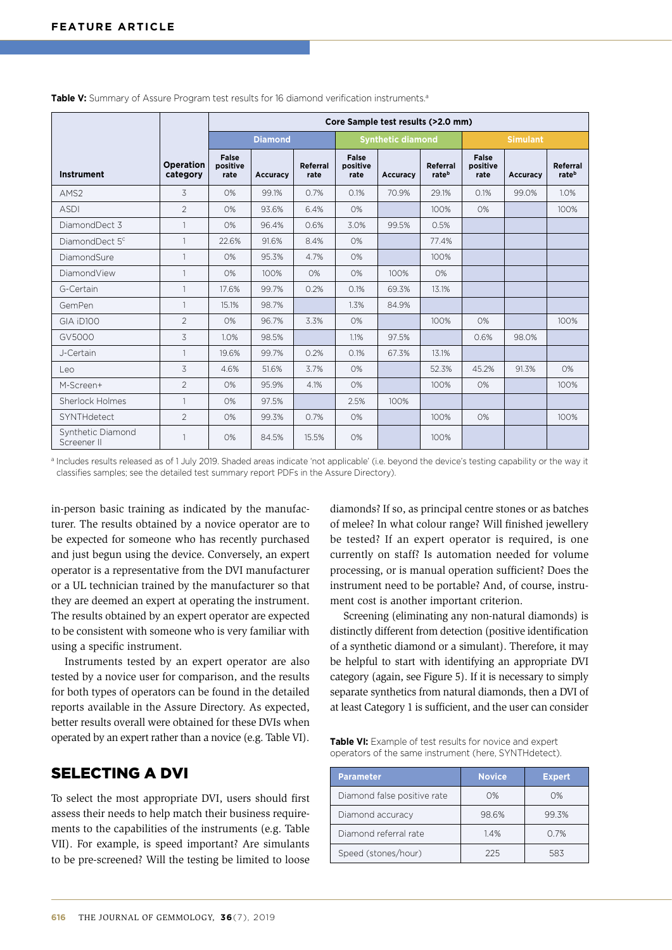|                                  |                              | Core Sample test results (>2.0 mm) |                 |                  |                           |                          |                   |                                  |          |                   |
|----------------------------------|------------------------------|------------------------------------|-----------------|------------------|---------------------------|--------------------------|-------------------|----------------------------------|----------|-------------------|
|                                  |                              |                                    | <b>Diamond</b>  |                  |                           | <b>Synthetic diamond</b> |                   | <b>Simulant</b>                  |          |                   |
| <b>Instrument</b>                | <b>Operation</b><br>category | <b>False</b><br>positive<br>rate   | <b>Accuracy</b> | Referral<br>rate | False<br>positive<br>rate | Accuracy                 | Referral<br>rateb | <b>False</b><br>positive<br>rate | Accuracy | Referral<br>rateb |
| AMS <sub>2</sub>                 | 3                            | O%                                 | 99.1%           | 0.7%             | 0.1%                      | 70.9%                    | 29.1%             | 0.1%                             | 99.0%    | 1.0%              |
| <b>ASDI</b>                      | $\overline{2}$               | 0%                                 | 93.6%           | 6.4%             | 0%                        |                          | 100%              | 0%                               |          | 100%              |
| DiamondDect 3                    | 1                            | 0%                                 | 96.4%           | 0.6%             | 3.0%                      | 99.5%                    | 0.5%              |                                  |          |                   |
| DiamondDect 5 <sup>c</sup>       | 1                            | 22.6%                              | 91.6%           | 8.4%             | 0%                        |                          | 77.4%             |                                  |          |                   |
| DiamondSure                      | $\mathbf{1}$                 | 0%                                 | 95.3%           | 4.7%             | 0%                        |                          | 100%              |                                  |          |                   |
| DiamondView                      | $\mathbf{1}$                 | 0%                                 | 100%            | 0%               | 0%                        | 100%                     | 0%                |                                  |          |                   |
| G-Certain                        | 1                            | 17.6%                              | 99.7%           | 0.2%             | 0.1%                      | 69.3%                    | 13.1%             |                                  |          |                   |
| GemPen                           | 1                            | 15.1%                              | 98.7%           |                  | 1.3%                      | 84.9%                    |                   |                                  |          |                   |
| GIA iD100                        | $\overline{2}$               | O%                                 | 96.7%           | 3.3%             | 0%                        |                          | 100%              | 0%                               |          | 100%              |
| GV5000                           | 3                            | 1.0%                               | 98.5%           |                  | 1.1%                      | 97.5%                    |                   | 0.6%                             | 98.0%    |                   |
| J-Certain                        | $\mathbf{1}$                 | 19.6%                              | 99.7%           | 0.2%             | 0.1%                      | 67.3%                    | 13.1%             |                                  |          |                   |
| Leo                              | 3                            | 4.6%                               | 51.6%           | 3.7%             | 0%                        |                          | 52.3%             | 45.2%                            | 91.3%    | O%                |
| M-Screen+                        | $\overline{2}$               | 0%                                 | 95.9%           | 4.1%             | 0%                        |                          | 100%              | 0%                               |          | 100%              |
| Sherlock Holmes                  | 1                            | O%                                 | 97.5%           |                  | 2.5%                      | 100%                     |                   |                                  |          |                   |
| SYNTHdetect                      | $\mathfrak{D}$               | O%                                 | 99.3%           | 0.7%             | 0%                        |                          | 100%              | 0%                               |          | 100%              |
| Synthetic Diamond<br>Screener II |                              | 0%                                 | 84.5%           | 15.5%            | 0%                        |                          | 100%              |                                  |          |                   |

**Table V:** Summary of Assure Program test results for 16 diamond verification instruments.<sup>a</sup>

a Includes results released as of 1 July 2019. Shaded areas indicate 'not applicable' (i.e. beyond the device's testing capability or the way it classifies samples; see the detailed test summary report PDFs in the Assure Directory).

in-person basic training as indicated by the manufacturer. The results obtained by a novice operator are to be expected for someone who has recently purchased and just begun using the device. Conversely, an expert operator is a representative from the DVI manufacturer or a UL technician trained by the manufacturer so that they are deemed an expert at operating the instrument. The results obtained by an expert operator are expected to be consistent with someone who is very familiar with using a specific instrument.

Instruments tested by an expert operator are also tested by a novice user for comparison, and the results for both types of operators can be found in the detailed reports available in the Assure Directory. As expected, better results overall were obtained for these DVIs when operated by an expert rather than a novice (e.g. Table VI).

# SELECTING A DVI

To select the most appropriate DVI, users should first assess their needs to help match their business requirements to the capabilities of the instruments (e.g. Table VII). For example, is speed important? Are simulants to be pre-screened? Will the testing be limited to loose diamonds? If so, as principal centre stones or as batches of melee? In what colour range? Will finished jewellery be tested? If an expert operator is required, is one currently on staff? Is automation needed for volume processing, or is manual operation sufficient? Does the instrument need to be portable? And, of course, instrument cost is another important criterion.

Screening (eliminating any non-natural diamonds) is distinctly different from detection (positive identification of a synthetic diamond or a simulant). Therefore, it may be helpful to start with identifying an appropriate DVI category (again, see Figure 5). If it is necessary to simply separate synthetics from natural diamonds, then a DVI of at least Category 1 is sufficient, and the user can consider

**Table VI:** Example of test results for novice and expert operators of the same instrument (here, SYNTHdetect).

| <b>Parameter</b>            | <b>Novice</b> | <b>Expert</b> |
|-----------------------------|---------------|---------------|
| Diamond false positive rate | 0%            | $O\%$         |
| Diamond accuracy            | 98.6%         | 99.3%         |
| Diamond referral rate       | 1.4%          | 0.7%          |
| Speed (stones/hour)         | 225           | 583           |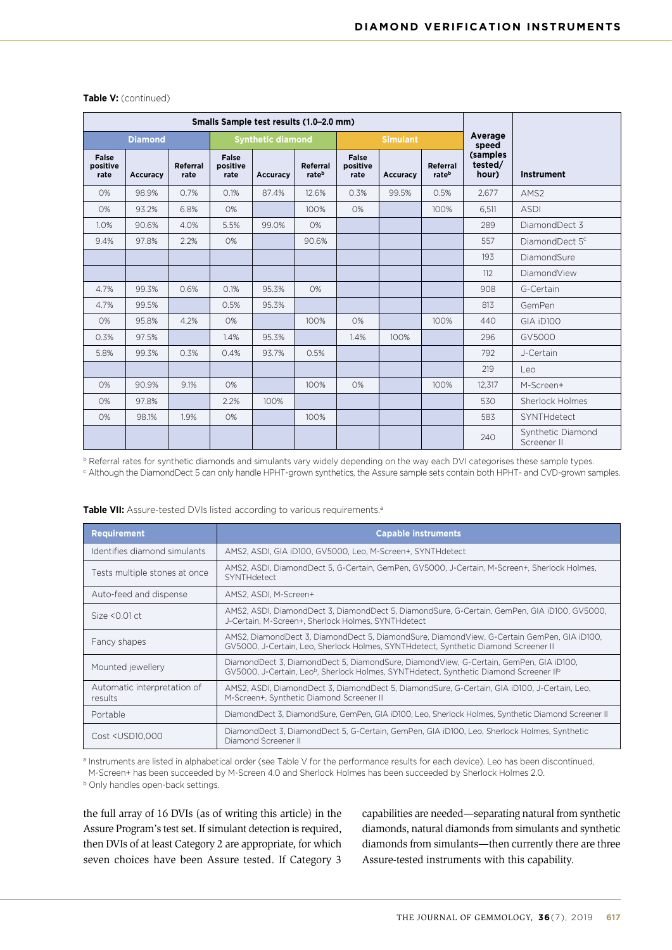| Smalls Sample test results (1.0-2.0 mm) |                |                  |                           |                          |                   |                           |                 |                   |                                       |                                  |  |  |
|-----------------------------------------|----------------|------------------|---------------------------|--------------------------|-------------------|---------------------------|-----------------|-------------------|---------------------------------------|----------------------------------|--|--|
|                                         | <b>Diamond</b> |                  |                           | <b>Synthetic diamond</b> |                   |                           | <b>Simulant</b> |                   |                                       |                                  |  |  |
| False<br>positive<br>rate               | Accuracy       | Referral<br>rate | False<br>positive<br>rate | Accuracy                 | Referral<br>rateb | False<br>positive<br>rate | <b>Accuracy</b> | Referral<br>rateb | speed<br>(samples<br>tested/<br>hour) | <b>Instrument</b>                |  |  |
| 0%                                      | 98.9%          | 0.7%             | 0.1%                      | 87.4%                    | 12.6%             | 0.3%                      | 99.5%           | 0.5%              | 2,677                                 | AMS <sub>2</sub>                 |  |  |
| 0%                                      | 93.2%          | 6.8%             | 0%                        |                          | 100%              | 0%                        |                 | 100%              | 6.511                                 | <b>ASDI</b>                      |  |  |
| 1.0%                                    | 90.6%          | 4.0%             | 5.5%                      | 99.0%                    | 0%                |                           |                 |                   | 289                                   | DiamondDect 3                    |  |  |
| 9.4%                                    | 97.8%          | 2.2%             | 0%                        |                          | 90.6%             |                           |                 |                   | 557                                   | DiamondDect 5 <sup>c</sup>       |  |  |
|                                         |                |                  |                           |                          |                   |                           |                 |                   | 193                                   | DiamondSure                      |  |  |
|                                         |                |                  |                           |                          |                   |                           |                 |                   | 112                                   | DiamondView                      |  |  |
| 4.7%                                    | 99.3%          | 0.6%             | 0.1%                      | 95.3%                    | 0%                |                           |                 |                   | 908                                   | G-Certain                        |  |  |
| 4.7%                                    | 99.5%          |                  | 0.5%                      | 95.3%                    |                   |                           |                 |                   | 813                                   | GemPen                           |  |  |
| O%                                      | 95.8%          | 4.2%             | 0%                        |                          | 100%              | O%                        |                 | 100%              | 440                                   | GIA iD100                        |  |  |
| 0.3%                                    | 97.5%          |                  | 1.4%                      | 95.3%                    |                   | 1.4%                      | 100%            |                   | 296                                   | GV5000                           |  |  |
| 5.8%                                    | 99.3%          | 0.3%             | 0.4%                      | 93.7%                    | 0.5%              |                           |                 |                   | 792                                   | J-Certain                        |  |  |
|                                         |                |                  |                           |                          |                   |                           |                 |                   | 219                                   | Leo                              |  |  |
| O%                                      | 90.9%          | 9.1%             | $O\%$                     |                          | 100%              | O%                        |                 | 100%              | 12,317                                | M-Screen+                        |  |  |
| 0%                                      | 97.8%          |                  | 2.2%                      | 100%                     |                   |                           |                 |                   | 530                                   | Sherlock Holmes                  |  |  |
| 0%                                      | 98.1%          | 1.9%             | 0%                        |                          | 100%              |                           |                 |                   | 583                                   | SYNTHdetect                      |  |  |
|                                         |                |                  |                           |                          |                   |                           |                 |                   | 240                                   | Synthetic Diamond<br>Screener II |  |  |

#### **Table V:** (continued)

b Referral rates for synthetic diamonds and simulants vary widely depending on the way each DVI categorises these sample types.

<sup>c</sup> Although the DiamondDect 5 can only handle HPHT-grown synthetics, the Assure sample sets contain both HPHT- and CVD-grown samples.

| <b>Requirement</b>                                                                                                                                               | <b>Capable instruments</b>                                                                                                                                                                              |
|------------------------------------------------------------------------------------------------------------------------------------------------------------------|---------------------------------------------------------------------------------------------------------------------------------------------------------------------------------------------------------|
| Identifies diamond simulants                                                                                                                                     | AMS2, ASDI, GIA iD100, GV5000, Leo, M-Screen+, SYNTHdetect                                                                                                                                              |
| Tests multiple stones at once                                                                                                                                    | AMS2, ASDI, DiamondDect 5, G-Certain, GemPen, GV5000, J-Certain, M-Screen+, Sherlock Holmes,<br>SYNTHdetect                                                                                             |
| Auto-feed and dispense                                                                                                                                           | AMS2, ASDI, M-Screen+                                                                                                                                                                                   |
| Size $< 0.01$ ct                                                                                                                                                 | AMS2, ASDI, DiamondDect 3, DiamondDect 5, DiamondSure, G-Certain, GemPen, GIA iD100, GV5000,<br>J-Certain, M-Screen+, Sherlock Holmes, SYNTHdetect                                                      |
| Fancy shapes                                                                                                                                                     | AMS2, DiamondDect 3, DiamondDect 5, DiamondSure, DiamondView, G-Certain GemPen, GIA iD100,<br>GV5000, J-Certain, Leo, Sherlock Holmes, SYNTHdetect, Synthetic Diamond Screener II                       |
| Mounted jewellery                                                                                                                                                | DiamondDect 3, DiamondDect 5, DiamondSure, DiamondView, G-Certain, GemPen, GIA iD100,<br>GV5000, J-Certain, Leo <sup>b</sup> , Sherlock Holmes, SYNTHdetect, Synthetic Diamond Screener II <sup>b</sup> |
| Automatic interpretation of<br>results                                                                                                                           | AMS2, ASDI, DiamondDect 3, DiamondDect 5, DiamondSure, G-Certain, GIA iD100, J-Certain, Leo,<br>M-Screen+, Synthetic Diamond Screener II                                                                |
| Portable                                                                                                                                                         | DiamondDect 3, DiamondSure, GemPen, GIA iD100, Leo, Sherlock Holmes, Synthetic Diamond Screener II                                                                                                      |
| Cost <usd10,000< td=""><td>DiamondDect 3, DiamondDect 5, G-Certain, GemPen, GIA iD100, Leo, Sherlock Holmes, Synthetic<br/>Diamond Screener II</td></usd10,000<> | DiamondDect 3, DiamondDect 5, G-Certain, GemPen, GIA iD100, Leo, Sherlock Holmes, Synthetic<br>Diamond Screener II                                                                                      |

Table VII: Assure-tested DVIs listed according to various requirements.<sup>a</sup>

a Instruments are listed in alphabetical order (see Table V for the performance results for each device). Leo has been discontinued, M-Screen+ has been succeeded by M-Screen 4.0 and Sherlock Holmes has been succeeded by Sherlock Holmes 2.0.

**b** Only handles open-back settings.

the full array of 16 DVIs (as of writing this article) in the Assure Program's test set. If simulant detection is required, then DVIs of at least Category 2 are appropriate, for which seven choices have been Assure tested. If Category 3

capabilities are needed—separating natural from synthetic diamonds, natural diamonds from simulants and synthetic diamonds from simulants—then currently there are three Assure-tested instruments with this capability.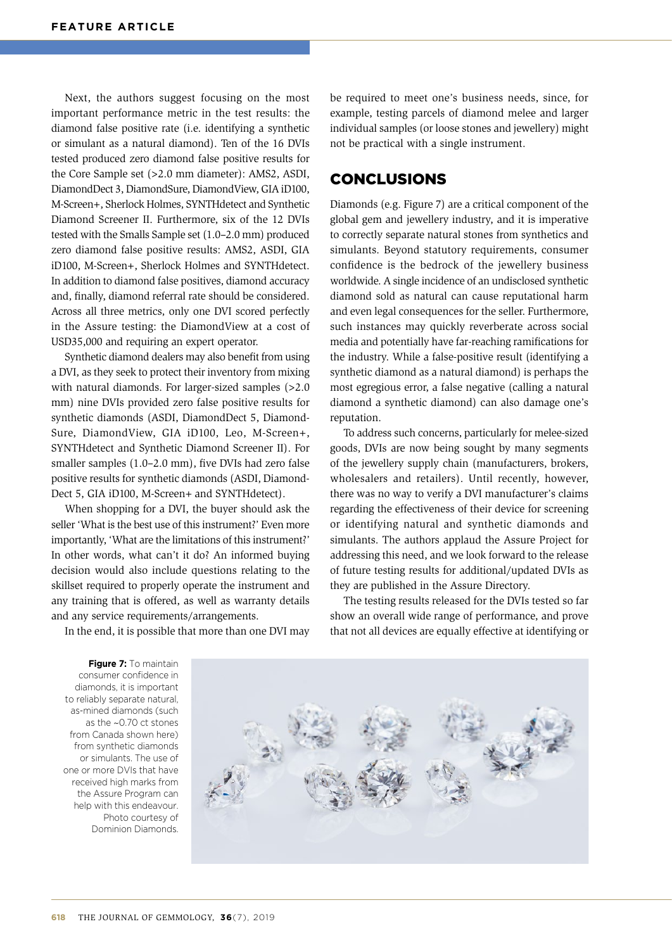Next, the authors suggest focusing on the most important performance metric in the test results: the diamond false positive rate (i.e. identifying a synthetic or simulant as a natural diamond). Ten of the 16 DVIs tested produced zero diamond false positive results for the Core Sample set (>2.0 mm diameter): AMS2, ASDI, DiamondDect 3, DiamondSure, DiamondView, GIA iD100, M-Screen+, Sherlock Holmes, SYNTHdetect and Synthetic Diamond Screener II. Furthermore, six of the 12 DVIs tested with the Smalls Sample set (1.0–2.0 mm) produced zero diamond false positive results: AMS2, ASDI, GIA iD100, M-Screen+, Sherlock Holmes and SYNTHdetect. In addition to diamond false positives, diamond accuracy and, finally, diamond referral rate should be considered. Across all three metrics, only one DVI scored perfectly in the Assure testing: the DiamondView at a cost of USD35,000 and requiring an expert operator.

Synthetic diamond dealers may also benefit from using a DVI, as they seek to protect their inventory from mixing with natural diamonds. For larger-sized samples (>2.0 mm) nine DVIs provided zero false positive results for synthetic diamonds (ASDI, DiamondDect 5, Diamond-Sure, DiamondView, GIA iD100, Leo, M-Screen+, SYNTHdetect and Synthetic Diamond Screener II). For smaller samples (1.0–2.0 mm), five DVIs had zero false positive results for synthetic diamonds (ASDI, Diamond-Dect 5, GIA iD100, M-Screen+ and SYNTHdetect).

When shopping for a DVI, the buyer should ask the seller 'What is the best use of this instrument?' Even more importantly, 'What are the limitations of this instrument?' In other words, what can't it do? An informed buying decision would also include questions relating to the skillset required to properly operate the instrument and any training that is offered, as well as warranty details and any service requirements/arrangements.

be required to meet one's business needs, since, for example, testing parcels of diamond melee and larger individual samples (or loose stones and jewellery) might not be practical with a single instrument.

# CONCLUSIONS

Diamonds (e.g. Figure 7) are a critical component of the global gem and jewellery industry, and it is imperative to correctly separate natural stones from synthetics and simulants. Beyond statutory requirements, consumer confidence is the bedrock of the jewellery business worldwide. A single incidence of an undisclosed synthetic diamond sold as natural can cause reputational harm and even legal consequences for the seller. Furthermore, such instances may quickly reverberate across social media and potentially have far-reaching ramifications for the industry. While a false-positive result (identifying a synthetic diamond as a natural diamond) is perhaps the most egregious error, a false negative (calling a natural diamond a synthetic diamond) can also damage one's reputation.

To address such concerns, particularly for melee-sized goods, DVIs are now being sought by many segments of the jewellery supply chain (manufacturers, brokers, wholesalers and retailers). Until recently, however, there was no way to verify a DVI manufacturer's claims regarding the effectiveness of their device for screening or identifying natural and synthetic diamonds and simulants. The authors applaud the Assure Project for addressing this need, and we look forward to the release of future testing results for additional/updated DVIs as they are published in the Assure Directory.

The testing results released for the DVIs tested so far show an overall wide range of performance, and prove that not all devices are equally effective at identifying or

In the end, it is possible that more than one DVI may

**Figure 7:** To maintain consumer confidence in diamonds, it is important to reliably separate natural, as-mined diamonds (such as the ~0.70 ct stones from Canada shown here) from synthetic diamonds or simulants. The use of one or more DVIs that have received high marks from the Assure Program can help with this endeavour. Photo courtesy of Dominion Diamonds.